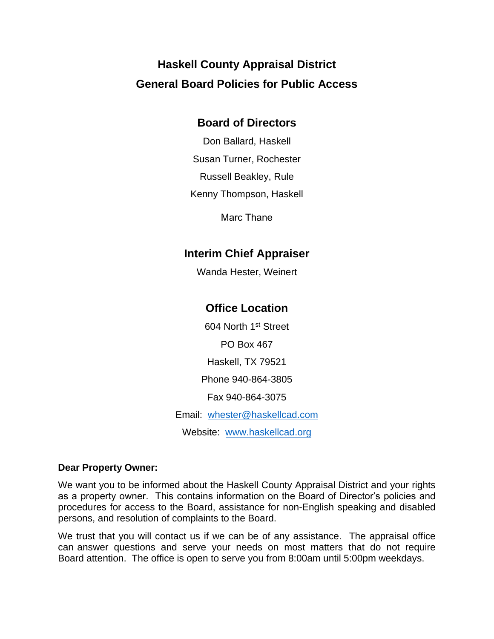# **Haskell County Appraisal District General Board Policies for Public Access**

# **Board of Directors**

Don Ballard, Haskell Susan Turner, Rochester Russell Beakley, Rule Kenny Thompson, Haskell

Marc Thane

# **Interim Chief Appraiser**

Wanda Hester, Weinert

# **Office Location**

604 North 1<sup>st</sup> Street PO Box 467 Haskell, TX 79521 Phone 940-864-3805 Fax 940-864-3075 Email: [whester@haskellcad.com](mailto:whester@haskellcad.com) Website: [www.haskellcad.org](http://www.haskellcad.org/)

## **Dear Property Owner:**

We want you to be informed about the Haskell County Appraisal District and your rights as a property owner. This contains information on the Board of Director's policies and procedures for access to the Board, assistance for non-English speaking and disabled persons, and resolution of complaints to the Board.

We trust that you will contact us if we can be of any assistance. The appraisal office can answer questions and serve your needs on most matters that do not require Board attention. The office is open to serve you from 8:00am until 5:00pm weekdays.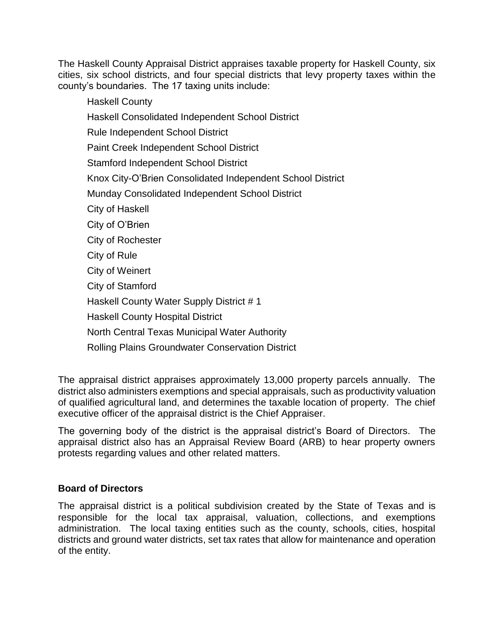The Haskell County Appraisal District appraises taxable property for Haskell County, six cities, six school districts, and four special districts that levy property taxes within the county's boundaries. The 17 taxing units include:

Haskell County Haskell Consolidated Independent School District Rule Independent School District Paint Creek Independent School District Stamford Independent School District Knox City-O'Brien Consolidated Independent School District Munday Consolidated Independent School District City of Haskell City of O'Brien City of Rochester City of Rule City of Weinert City of Stamford Haskell County Water Supply District #1 Haskell County Hospital District North Central Texas Municipal Water Authority Rolling Plains Groundwater Conservation District

The appraisal district appraises approximately 13,000 property parcels annually. The district also administers exemptions and special appraisals, such as productivity valuation of qualified agricultural land, and determines the taxable location of property. The chief executive officer of the appraisal district is the Chief Appraiser.

The governing body of the district is the appraisal district's Board of Directors. The appraisal district also has an Appraisal Review Board (ARB) to hear property owners protests regarding values and other related matters.

## **Board of Directors**

The appraisal district is a political subdivision created by the State of Texas and is responsible for the local tax appraisal, valuation, collections, and exemptions administration. The local taxing entities such as the county, schools, cities, hospital districts and ground water districts, set tax rates that allow for maintenance and operation of the entity.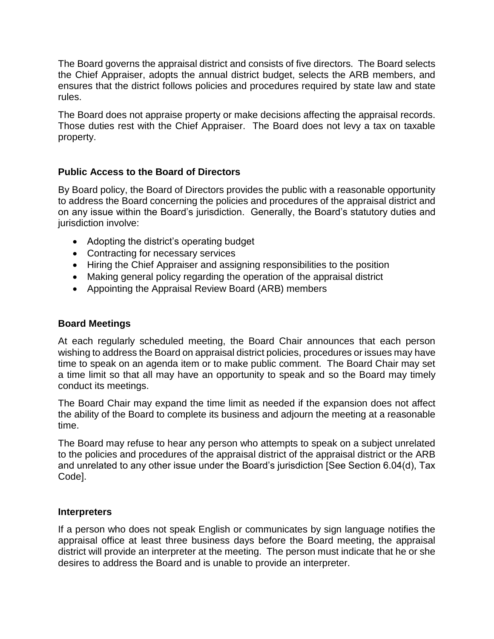The Board governs the appraisal district and consists of five directors. The Board selects the Chief Appraiser, adopts the annual district budget, selects the ARB members, and ensures that the district follows policies and procedures required by state law and state rules.

The Board does not appraise property or make decisions affecting the appraisal records. Those duties rest with the Chief Appraiser. The Board does not levy a tax on taxable property.

### **Public Access to the Board of Directors**

By Board policy, the Board of Directors provides the public with a reasonable opportunity to address the Board concerning the policies and procedures of the appraisal district and on any issue within the Board's jurisdiction. Generally, the Board's statutory duties and jurisdiction involve:

- Adopting the district's operating budget
- Contracting for necessary services
- Hiring the Chief Appraiser and assigning responsibilities to the position
- Making general policy regarding the operation of the appraisal district
- Appointing the Appraisal Review Board (ARB) members

#### **Board Meetings**

At each regularly scheduled meeting, the Board Chair announces that each person wishing to address the Board on appraisal district policies, procedures or issues may have time to speak on an agenda item or to make public comment. The Board Chair may set a time limit so that all may have an opportunity to speak and so the Board may timely conduct its meetings.

The Board Chair may expand the time limit as needed if the expansion does not affect the ability of the Board to complete its business and adjourn the meeting at a reasonable time.

The Board may refuse to hear any person who attempts to speak on a subject unrelated to the policies and procedures of the appraisal district of the appraisal district or the ARB and unrelated to any other issue under the Board's jurisdiction [See Section 6.04(d), Tax Code].

#### **Interpreters**

If a person who does not speak English or communicates by sign language notifies the appraisal office at least three business days before the Board meeting, the appraisal district will provide an interpreter at the meeting. The person must indicate that he or she desires to address the Board and is unable to provide an interpreter.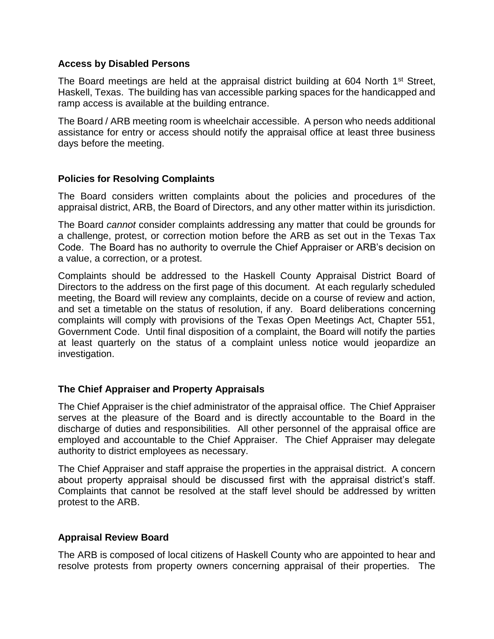#### **Access by Disabled Persons**

The Board meetings are held at the appraisal district building at 604 North  $1<sup>st</sup>$  Street, Haskell, Texas. The building has van accessible parking spaces for the handicapped and ramp access is available at the building entrance.

The Board / ARB meeting room is wheelchair accessible. A person who needs additional assistance for entry or access should notify the appraisal office at least three business days before the meeting.

#### **Policies for Resolving Complaints**

The Board considers written complaints about the policies and procedures of the appraisal district, ARB, the Board of Directors, and any other matter within its jurisdiction.

The Board *cannot* consider complaints addressing any matter that could be grounds for a challenge, protest, or correction motion before the ARB as set out in the Texas Tax Code. The Board has no authority to overrule the Chief Appraiser or ARB's decision on a value, a correction, or a protest.

Complaints should be addressed to the Haskell County Appraisal District Board of Directors to the address on the first page of this document. At each regularly scheduled meeting, the Board will review any complaints, decide on a course of review and action, and set a timetable on the status of resolution, if any. Board deliberations concerning complaints will comply with provisions of the Texas Open Meetings Act, Chapter 551, Government Code. Until final disposition of a complaint, the Board will notify the parties at least quarterly on the status of a complaint unless notice would jeopardize an investigation.

#### **The Chief Appraiser and Property Appraisals**

The Chief Appraiser is the chief administrator of the appraisal office. The Chief Appraiser serves at the pleasure of the Board and is directly accountable to the Board in the discharge of duties and responsibilities. All other personnel of the appraisal office are employed and accountable to the Chief Appraiser. The Chief Appraiser may delegate authority to district employees as necessary.

The Chief Appraiser and staff appraise the properties in the appraisal district. A concern about property appraisal should be discussed first with the appraisal district's staff. Complaints that cannot be resolved at the staff level should be addressed by written protest to the ARB.

#### **Appraisal Review Board**

The ARB is composed of local citizens of Haskell County who are appointed to hear and resolve protests from property owners concerning appraisal of their properties. The